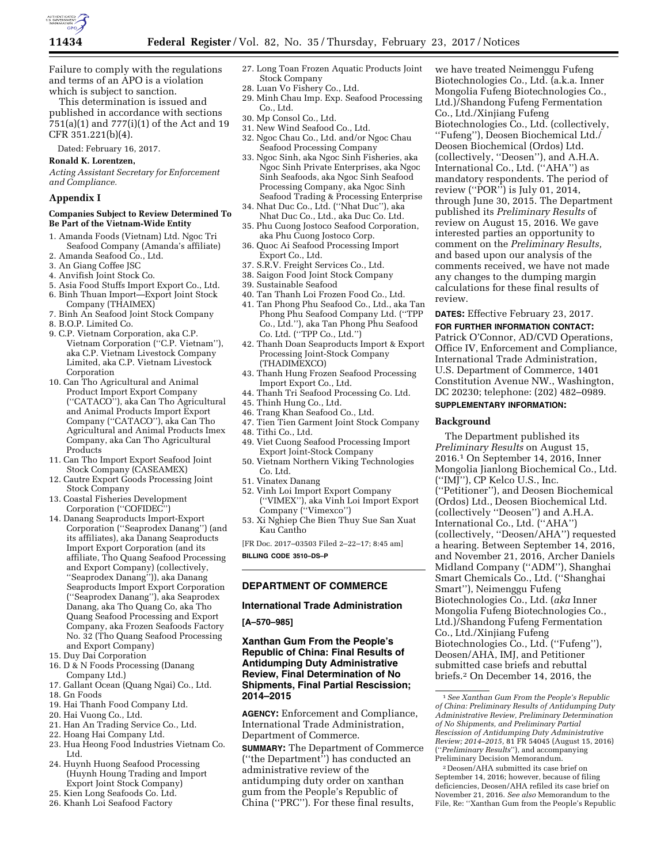

Failure to comply with the regulations and terms of an APO is a violation which is subject to sanction.

This determination is issued and published in accordance with sections 751(a)(1) and 777(i)(1) of the Act and 19 CFR 351.221(b)(4).

Dated: February 16, 2017.

# **Ronald K. Lorentzen,**

*Acting Assistant Secretary for Enforcement and Compliance.* 

## **Appendix I**

### **Companies Subject to Review Determined To Be Part of the Vietnam-Wide Entity**

- 1. Amanda Foods (Vietnam) Ltd. Ngoc Tri Seafood Company (Amanda's affiliate)
- 2. Amanda Seafood Co., Ltd.
- 3. An Giang Coffee JSC
- 4. Anvifish Joint Stock Co.
- 5. Asia Food Stuffs Import Export Co., Ltd. 6. Binh Thuan Import—Export Joint Stock
- Company (THAIMEX)
- 7. Binh An Seafood Joint Stock Company
- 8. B.O.P. Limited Co.
- 9. C.P. Vietnam Corporation, aka C.P. Vietnam Corporation (''C.P. Vietnam''), aka C.P. Vietnam Livestock Company Limited, aka C.P. Vietnam Livestock Corporation
- 10. Can Tho Agricultural and Animal Product Import Export Company (''CATACO''), aka Can Tho Agricultural and Animal Products Import Export Company (''CATACO''), aka Can Tho Agricultural and Animal Products Imex Company, aka Can Tho Agricultural Products
- 11. Can Tho Import Export Seafood Joint Stock Company (CASEAMEX)
- 12. Cautre Export Goods Processing Joint Stock Company
- 13. Coastal Fisheries Development Corporation (''COFIDEC'')
- 14. Danang Seaproducts Import-Export Corporation (''Seaprodex Danang'') (and its affiliates), aka Danang Seaproducts Import Export Corporation (and its affiliate, Tho Quang Seafood Processing and Export Company) (collectively, ''Seaprodex Danang'')), aka Danang Seaproducts Import Export Corporation (''Seaprodex Danang''), aka Seaprodex Danang, aka Tho Quang Co, aka Tho Quang Seafood Processing and Export Company, aka Frozen Seafoods Factory No. 32 (Tho Quang Seafood Processing and Export Company)
- 15. Duy Dai Corporation
- 16. D & N Foods Processing (Danang Company Ltd.)
- 17. Gallant Ocean (Quang Ngai) Co., Ltd. 18. Gn Foods
- 19. Hai Thanh Food Company Ltd.
- 20. Hai Vuong Co., Ltd.
- 21. Han An Trading Service Co., Ltd.
- 22. Hoang Hai Company Ltd.
- 23. Hua Heong Food Industries Vietnam Co. Ltd.
- 24. Huynh Huong Seafood Processing (Huynh Houng Trading and Import Export Joint Stock Company)
- 25. Kien Long Seafoods Co. Ltd.
- 26. Khanh Loi Seafood Factory
- 27. Long Toan Frozen Aquatic Products Joint Stock Company
- 28. Luan Vo Fishery Co., Ltd.
- 29. Minh Chau Imp. Exp. Seafood Processing
- Co., Ltd. 30. Mp Consol Co., Ltd.
- 31. New Wind Seafood Co., Ltd.
- 32. Ngoc Chau Co., Ltd. and/or Ngoc Chau
- Seafood Processing Company
- 33. Ngoc Sinh, aka Ngoc Sinh Fisheries, aka Ngoc Sinh Private Enterprises, aka Ngoc Sinh Seafoods, aka Ngoc Sinh Seafood Processing Company, aka Ngoc Sinh Seafood Trading & Processing Enterprise
- 34. Nhat Duc Co., Ltd. (''Nhat Duc''), aka Nhat Duc Co., Ltd., aka Duc Co. Ltd.
- 35. Phu Cuong Jostoco Seafood Corporation, aka Phu Cuong Jostoco Corp.
- 36. Quoc Ai Seafood Processing Import Export Co., Ltd.
- 37. S.R.V. Freight Services Co., Ltd.
- 38. Saigon Food Joint Stock Company
- 39. Sustainable Seafood
- 40. Tan Thanh Loi Frozen Food Co., Ltd.
- 41. Tan Phong Phu Seafood Co., Ltd., aka Tan Phong Phu Seafood Company Ltd. (''TPP Co., Ltd.''), aka Tan Phong Phu Seafood Co. Ltd. (''TPP Co., Ltd.'')
- 42. Thanh Doan Seaproducts Import & Export Processing Joint-Stock Company (THADIMEXCO)
- 43. Thanh Hung Frozen Seafood Processing Import Export Co., Ltd.
- 44. Thanh Tri Seafood Processing Co. Ltd.
- 45. Thinh Hung Co., Ltd.
- 46. Trang Khan Seafood Co., Ltd.
- 47. Tien Tien Garment Joint Stock Company
- 48. Tithi Co., Ltd.
- 49. Viet Cuong Seafood Processing Import Export Joint-Stock Company
- 50. Vietnam Northern Viking Technologies Co. Ltd.
- 51. Vinatex Danang
- 52. Vinh Loi Import Export Company (''VIMEX''), aka Vinh Loi Import Export Company (''Vimexco'')
- 53. Xi Nghiep Che Bien Thuy Sue San Xuat Kau Cantho

[FR Doc. 2017–03503 Filed 2–22–17; 8:45 am] **BILLING CODE 3510–DS–P** 

# **DEPARTMENT OF COMMERCE**

# **International Trade Administration**

## **[A–570–985]**

## **Xanthan Gum From the People's Republic of China: Final Results of Antidumping Duty Administrative Review, Final Determination of No Shipments, Final Partial Rescission; 2014–2015**

**AGENCY:** Enforcement and Compliance, International Trade Administration, Department of Commerce.

**SUMMARY:** The Department of Commerce (''the Department'') has conducted an administrative review of the antidumping duty order on xanthan gum from the People's Republic of China (''PRC''). For these final results,

we have treated Neimenggu Fufeng Biotechnologies Co., Ltd. (a.k.a. Inner Mongolia Fufeng Biotechnologies Co., Ltd.)/Shandong Fufeng Fermentation Co., Ltd./Xinjiang Fufeng Biotechnologies Co., Ltd. (collectively, ''Fufeng''), Deosen Biochemical Ltd./ Deosen Biochemical (Ordos) Ltd. (collectively, ''Deosen''), and A.H.A. International Co., Ltd. (''AHA'') as mandatory respondents. The period of review (''POR'') is July 01, 2014, through June 30, 2015. The Department published its *Preliminary Results* of review on August 15, 2016. We gave interested parties an opportunity to comment on the *Preliminary Results,*  and based upon our analysis of the comments received, we have not made any changes to the dumping margin calculations for these final results of review.

- **DATES:** Effective February 23, 2017.
- **FOR FURTHER INFORMATION CONTACT:**

Patrick O'Connor, AD/CVD Operations, Office IV, Enforcement and Compliance, International Trade Administration, U.S. Department of Commerce, 1401 Constitution Avenue NW., Washington, DC 20230; telephone: (202) 482–0989.

## **SUPPLEMENTARY INFORMATION:**

### **Background**

The Department published its *Preliminary Results* on August 15, 2016.1 On September 14, 2016, Inner Mongolia Jianlong Biochemical Co., Ltd. (''IMJ''), CP Kelco U.S., Inc. (''Petitioner''), and Deosen Biochemical (Ordos) Ltd., Deosen Biochemical Ltd. (collectively ''Deosen'') and A.H.A. International Co., Ltd. (''AHA'') (collectively, ''Deosen/AHA'') requested a hearing. Between September 14, 2016, and November 21, 2016, Archer Daniels Midland Company (''ADM''), Shanghai Smart Chemicals Co., Ltd. (''Shanghai Smart''), Neimenggu Fufeng Biotechnologies Co., Ltd. (*aka* Inner Mongolia Fufeng Biotechnologies Co., Ltd.)/Shandong Fufeng Fermentation Co., Ltd./Xinjiang Fufeng Biotechnologies Co., Ltd. (''Fufeng''), Deosen/AHA, IMJ, and Petitioner submitted case briefs and rebuttal briefs.2 On December 14, 2016, the

2 Deosen/AHA submitted its case brief on September 14, 2016; however, because of filing deficiencies, Deosen/AHA refiled its case brief on November 21, 2016. *See also* Memorandum to the File, Re: ''Xanthan Gum from the People's Republic

<sup>1</sup>*See Xanthan Gum From the People's Republic of China: Preliminary Results of Antidumping Duty Administrative Review, Preliminary Determination of No Shipments, and Preliminary Partial Rescission of Antidumping Duty Administrative Review; 2014–2015,* 81 FR 54045 (August 15, 2016) (''*Preliminary Results*''), and accompanying Preliminary Decision Memorandum.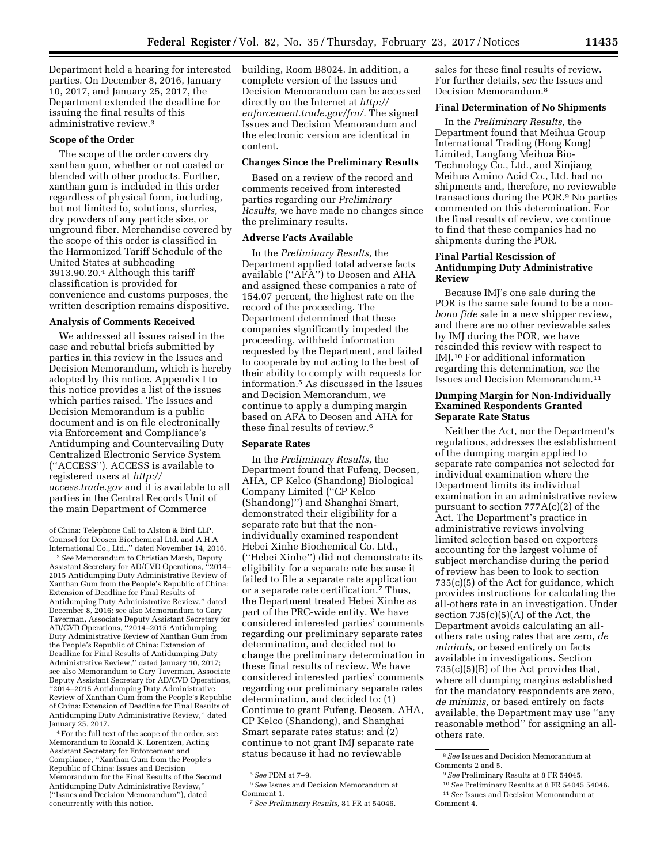Department held a hearing for interested parties. On December 8, 2016, January 10, 2017, and January 25, 2017, the Department extended the deadline for issuing the final results of this administrative review.3

### **Scope of the Order**

The scope of the order covers dry xanthan gum, whether or not coated or blended with other products. Further, xanthan gum is included in this order regardless of physical form, including, but not limited to, solutions, slurries, dry powders of any particle size, or unground fiber. Merchandise covered by the scope of this order is classified in the Harmonized Tariff Schedule of the United States at subheading 3913.90.20.4 Although this tariff classification is provided for convenience and customs purposes, the written description remains dispositive.

### **Analysis of Comments Received**

We addressed all issues raised in the case and rebuttal briefs submitted by parties in this review in the Issues and Decision Memorandum, which is hereby adopted by this notice. Appendix I to this notice provides a list of the issues which parties raised. The Issues and Decision Memorandum is a public document and is on file electronically via Enforcement and Compliance's Antidumping and Countervailing Duty Centralized Electronic Service System (''ACCESS''). ACCESS is available to registered users at *[http://](http://access.trade.gov) [access.trade.gov](http://access.trade.gov)* and it is available to all parties in the Central Records Unit of the main Department of Commerce

of China: Telephone Call to Alston & Bird LLP, Counsel for Deosen Biochemical Ltd. and A.H.A International Co., Ltd.,'' dated November 14, 2016.

3*See* Memorandum to Christian Marsh, Deputy Assistant Secretary for AD/CVD Operations, ''2014– 2015 Antidumping Duty Administrative Review of Xanthan Gum from the People's Republic of China: Extension of Deadline for Final Results of Antidumping Duty Administrative Review,'' dated December 8, 2016; see also Memorandum to Gary Taverman, Associate Deputy Assistant Secretary for AD/CVD Operations, ''2014–2015 Antidumping Duty Administrative Review of Xanthan Gum from the People's Republic of China: Extension of Deadline for Final Results of Antidumping Duty Administrative Review,'' dated January 10, 2017; see also Memorandum to Gary Taverman, Associate Deputy Assistant Secretary for AD/CVD Operations, ''2014–2015 Antidumping Duty Administrative Review of Xanthan Gum from the People's Republic of China: Extension of Deadline for Final Results of Antidumping Duty Administrative Review,'' dated January 25, 2017.

4For the full text of the scope of the order, see Memorandum to Ronald K. Lorentzen, Acting Assistant Secretary for Enforcement and Compliance, ''Xanthan Gum from the People's Republic of China: Issues and Decision Memorandum for the Final Results of the Second Antidumping Duty Administrative Review,'' (''Issues and Decision Memorandum''), dated concurrently with this notice.

building, Room B8024. In addition, a complete version of the Issues and Decision Memorandum can be accessed directly on the Internet at *[http://](http://enforcement.trade.gov/frn/) [enforcement.trade.gov/frn/.](http://enforcement.trade.gov/frn/)* The signed Issues and Decision Memorandum and the electronic version are identical in content.

### **Changes Since the Preliminary Results**

Based on a review of the record and comments received from interested parties regarding our *Preliminary Results,* we have made no changes since the preliminary results.

### **Adverse Facts Available**

In the *Preliminary Results,* the Department applied total adverse facts available (''AFA'') to Deosen and AHA and assigned these companies a rate of 154.07 percent, the highest rate on the record of the proceeding. The Department determined that these companies significantly impeded the proceeding, withheld information requested by the Department, and failed to cooperate by not acting to the best of their ability to comply with requests for information.5 As discussed in the Issues and Decision Memorandum, we continue to apply a dumping margin based on AFA to Deosen and AHA for these final results of review.6

#### **Separate Rates**

In the *Preliminary Results,* the Department found that Fufeng, Deosen, AHA, CP Kelco (Shandong) Biological Company Limited (''CP Kelco (Shandong)'') and Shanghai Smart, demonstrated their eligibility for a separate rate but that the nonindividually examined respondent Hebei Xinhe Biochemical Co. Ltd., (''Hebei Xinhe'') did not demonstrate its eligibility for a separate rate because it failed to file a separate rate application or a separate rate certification.7 Thus, the Department treated Hebei Xinhe as part of the PRC-wide entity. We have considered interested parties' comments regarding our preliminary separate rates determination, and decided not to change the preliminary determination in these final results of review. We have considered interested parties' comments regarding our preliminary separate rates determination, and decided to: (1) Continue to grant Fufeng, Deosen, AHA, CP Kelco (Shandong), and Shanghai Smart separate rates status; and (2) continue to not grant IMJ separate rate status because it had no reviewable

sales for these final results of review. For further details, *see* the Issues and Decision Memorandum.8

# **Final Determination of No Shipments**

In the *Preliminary Results,* the Department found that Meihua Group International Trading (Hong Kong) Limited, Langfang Meihua Bio-Technology Co., Ltd., and Xinjiang Meihua Amino Acid Co., Ltd. had no shipments and, therefore, no reviewable transactions during the POR.9 No parties commented on this determination. For the final results of review, we continue to find that these companies had no shipments during the POR.

## **Final Partial Rescission of Antidumping Duty Administrative Review**

Because IMJ's one sale during the POR is the same sale found to be a non*bona fide* sale in a new shipper review, and there are no other reviewable sales by IMJ during the POR, we have rescinded this review with respect to IMJ.10 For additional information regarding this determination, *see* the Issues and Decision Memorandum.11

## **Dumping Margin for Non-Individually Examined Respondents Granted Separate Rate Status**

Neither the Act, nor the Department's regulations, addresses the establishment of the dumping margin applied to separate rate companies not selected for individual examination where the Department limits its individual examination in an administrative review pursuant to section 777A(c)(2) of the Act. The Department's practice in administrative reviews involving limited selection based on exporters accounting for the largest volume of subject merchandise during the period of review has been to look to section 735(c)(5) of the Act for guidance, which provides instructions for calculating the all-others rate in an investigation. Under section 735(c)(5)(A) of the Act, the Department avoids calculating an allothers rate using rates that are zero, *de minimis,* or based entirely on facts available in investigations. Section 735(c)(5)(B) of the Act provides that, where all dumping margins established for the mandatory respondents are zero, *de minimis,* or based entirely on facts available, the Department may use ''any reasonable method'' for assigning an allothers rate.

<sup>5</sup>*See* PDM at 7–9.

<sup>6</sup>*See* Issues and Decision Memorandum at Comment 1.

<sup>7</sup>*See Preliminary Results,* 81 FR at 54046.

<sup>8</sup>*See* Issues and Decision Memorandum at Comments 2 and 5.

<sup>9</sup>*See* Preliminary Results at 8 FR 54045.

<sup>10</sup>*See* Preliminary Results at 8 FR 54045 54046. 11*See* Issues and Decision Memorandum at

Comment 4.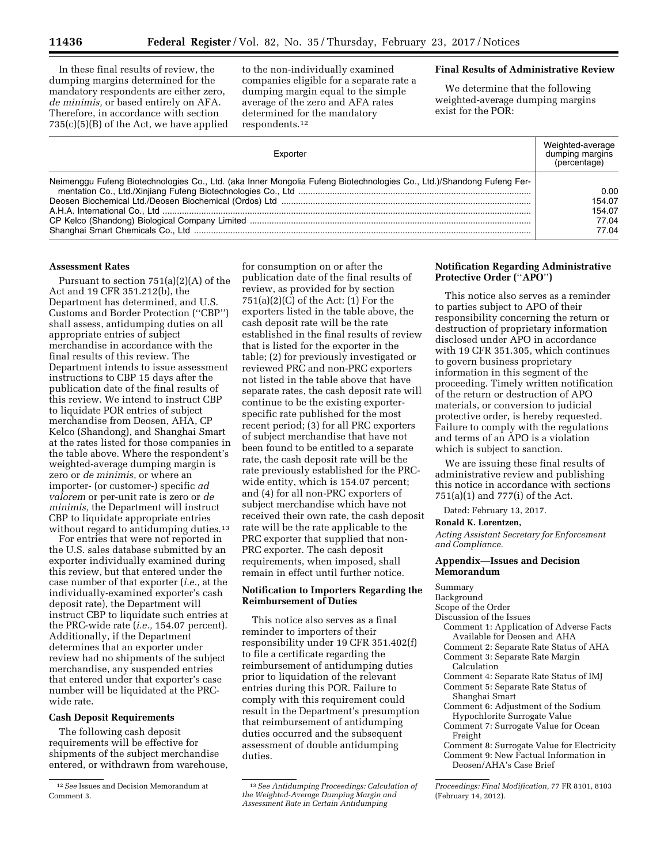In these final results of review, the dumping margins determined for the mandatory respondents are either zero, *de minimis,* or based entirely on AFA. Therefore, in accordance with section 735(c)(5)(B) of the Act, we have applied

to the non-individually examined companies eligible for a separate rate a dumping margin equal to the simple average of the zero and AFA rates determined for the mandatory respondents.12

## **Final Results of Administrative Review**

We determine that the following weighted-average dumping margins exist for the POR:

| Exporter                                                                                                              | Weighted-average<br>dumping margins<br>(percentage) |
|-----------------------------------------------------------------------------------------------------------------------|-----------------------------------------------------|
| Neimenggu Fufeng Biotechnologies Co., Ltd. (aka Inner Mongolia Fufeng Biotechnologies Co., Ltd.)/Shandong Fufeng Fer- | 0.00                                                |
|                                                                                                                       | 154.07                                              |
|                                                                                                                       | 154.07                                              |
|                                                                                                                       | 77.04                                               |
|                                                                                                                       | 77.04                                               |

#### **Assessment Rates**

Pursuant to section 751(a)(2)(A) of the Act and 19 CFR 351.212(b), the Department has determined, and U.S. Customs and Border Protection (''CBP'') shall assess, antidumping duties on all appropriate entries of subject merchandise in accordance with the final results of this review. The Department intends to issue assessment instructions to CBP 15 days after the publication date of the final results of this review. We intend to instruct CBP to liquidate POR entries of subject merchandise from Deosen, AHA, CP Kelco (Shandong), and Shanghai Smart at the rates listed for those companies in the table above. Where the respondent's weighted-average dumping margin is zero or *de minimis,* or where an importer- (or customer-) specific *ad valorem* or per-unit rate is zero or *de minimis,* the Department will instruct CBP to liquidate appropriate entries without regard to antidumping duties.<sup>13</sup>

For entries that were not reported in the U.S. sales database submitted by an exporter individually examined during this review, but that entered under the case number of that exporter (*i.e.,* at the individually-examined exporter's cash deposit rate), the Department will instruct CBP to liquidate such entries at the PRC-wide rate (*i.e.,* 154.07 percent). Additionally, if the Department determines that an exporter under review had no shipments of the subject merchandise, any suspended entries that entered under that exporter's case number will be liquidated at the PRCwide rate.

### **Cash Deposit Requirements**

The following cash deposit requirements will be effective for shipments of the subject merchandise entered, or withdrawn from warehouse,

for consumption on or after the publication date of the final results of review, as provided for by section  $751(a)(2)(C)$  of the Act:  $(1)$  For the exporters listed in the table above, the cash deposit rate will be the rate established in the final results of review that is listed for the exporter in the table; (2) for previously investigated or reviewed PRC and non-PRC exporters not listed in the table above that have separate rates, the cash deposit rate will continue to be the existing exporterspecific rate published for the most recent period; (3) for all PRC exporters of subject merchandise that have not been found to be entitled to a separate rate, the cash deposit rate will be the rate previously established for the PRCwide entity, which is 154.07 percent; and (4) for all non-PRC exporters of subject merchandise which have not received their own rate, the cash deposit rate will be the rate applicable to the PRC exporter that supplied that non-PRC exporter. The cash deposit requirements, when imposed, shall remain in effect until further notice.

## **Notification to Importers Regarding the Reimbursement of Duties**

This notice also serves as a final reminder to importers of their responsibility under 19 CFR 351.402(f) to file a certificate regarding the reimbursement of antidumping duties prior to liquidation of the relevant entries during this POR. Failure to comply with this requirement could result in the Department's presumption that reimbursement of antidumping duties occurred and the subsequent assessment of double antidumping duties.

### **Notification Regarding Administrative Protective Order (**''**APO**''**)**

This notice also serves as a reminder to parties subject to APO of their responsibility concerning the return or destruction of proprietary information disclosed under APO in accordance with 19 CFR 351.305, which continues to govern business proprietary information in this segment of the proceeding. Timely written notification of the return or destruction of APO materials, or conversion to judicial protective order, is hereby requested. Failure to comply with the regulations and terms of an APO is a violation which is subject to sanction.

We are issuing these final results of administrative review and publishing this notice in accordance with sections 751(a)(1) and 777(i) of the Act.

Dated: February 13, 2017.

# **Ronald K. Lorentzen,**

*Acting Assistant Secretary for Enforcement and Compliance.* 

### **Appendix—Issues and Decision Memorandum**

Summary

Background

Scope of the Order

- Discussion of the Issues
	- Comment 1: Application of Adverse Facts Available for Deosen and AHA
	- Comment 2: Separate Rate Status of AHA Comment 3: Separate Rate Margin Calculation
	- Comment 4: Separate Rate Status of IMJ
	- Comment 5: Separate Rate Status of Shanghai Smart
	- Comment 6: Adjustment of the Sodium Hypochlorite Surrogate Value
	- Comment 7: Surrogate Value for Ocean Freight
	- Comment 8: Surrogate Value for Electricity Comment 9: New Factual Information in Deosen/AHA's Case Brief

<sup>12</sup>*See* Issues and Decision Memorandum at Comment 3.

<sup>13</sup>*See Antidumping Proceedings: Calculation of the Weighted-Average Dumping Margin and Assessment Rate in Certain Antidumping* 

*Proceedings: Final Modification,* 77 FR 8101, 8103 (February 14, 2012).